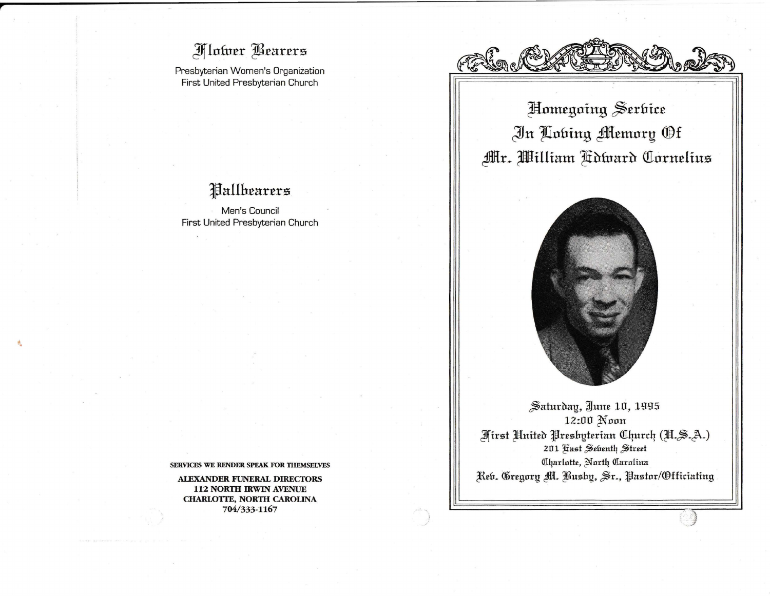**Flower Bearers** 

Presbyterian Women's Organization First United Presbyterian Church

# Pallhearers

Men's Council First United Presbyterian Church

**Homegoing Serbice** In Lobing Memory Of Mr. William Fidward Cornelius



Saturday, June 10, 1995 12:00 Noon First United Presbyterian Church (H.S.A.) 201 Fast Sebenth Street Charlotte, North Carolina Reb. Gregory M. Busby, Sr., Pastor/Officiating

#### SERVICES WE RENDER SPEAK FOR THEMSELVES

**ALEXANDER FUNERAL DIRECTORS 112 NORTH IRWIN AVENUE** CHARLOTTE, NORTH CAROLINA 704/333-1167